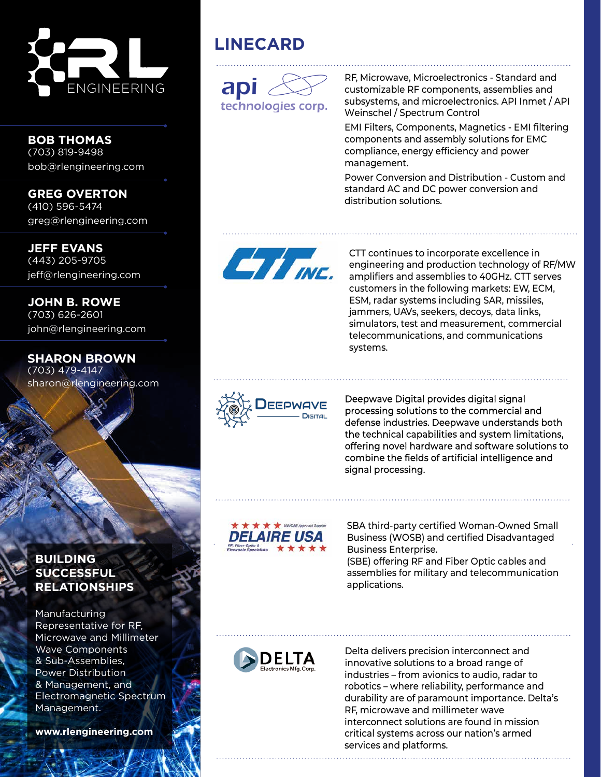

**BOB THOMAS** (703) 819-9498 bob@rlengineering.com

**GREG OVERTON** (410) 596-5474 greg@rlengineering.com

**JEFF EVANS** (443) 205-9705 jeff@rlengineering.com

**JOHN B. ROWE** (703) 626-2601 john@rlengineering.com

**SHARON BROWN** (703) 479-4147 sharon@rlengineering.com

## **LINECARD**



RF, Microwave, Microelectronics - Standard and customizable RF components, assemblies and subsystems, and microelectronics. API Inmet / API Weinschel / Spectrum Control

EMI Filters, Components, Magnetics - EMI filtering components and assembly solutions for EMC compliance, energy efficiency and power management.

Power Conversion and Distribution - Custom and standard AC and DC power conversion and distribution solutions.



CTT continues to incorporate excellence in engineering and production technology of RF/MW amplifiers and assemblies to 40GHz. CTT serves customers in the following markets: EW, ECM, ESM, radar systems including SAR, missiles, jammers, UAVs, seekers, decoys, data links, simulators, test and measurement, commercial telecommunications, and communications systems.



Deepwave Digital provides digital signal processing solutions to the commercial and defense industries. Deepwave understands both the technical capabilities and system limitations, offering novel hardware and software solutions to combine the fields of artificial intelligence and signal processing.



SBA third-party certified Woman-Owned Small Business (WOSB) and certified Disadvantaged Business Enterprise. (SBE) offering RF and Fiber Optic cables and assemblies for military and telecommunication applications.



Delta delivers precision interconnect and innovative solutions to a broad range of industries – from avionics to audio, radar to robotics – where reliability, performance and durability are of paramount importance. Delta's RF, microwave and millimeter wave interconnect solutions are found in mission critical systems across our nation's armed services and platforms.

## **BUILDING SUCCESSFUL RELATIONSHIPS**

Manufacturing Representative for RF, Microwave and Millimeter Wave Components & Sub-Assemblies, Power Distribution & Management, and Electromagnetic Spectrum Management.

**www.rlengineering.com**